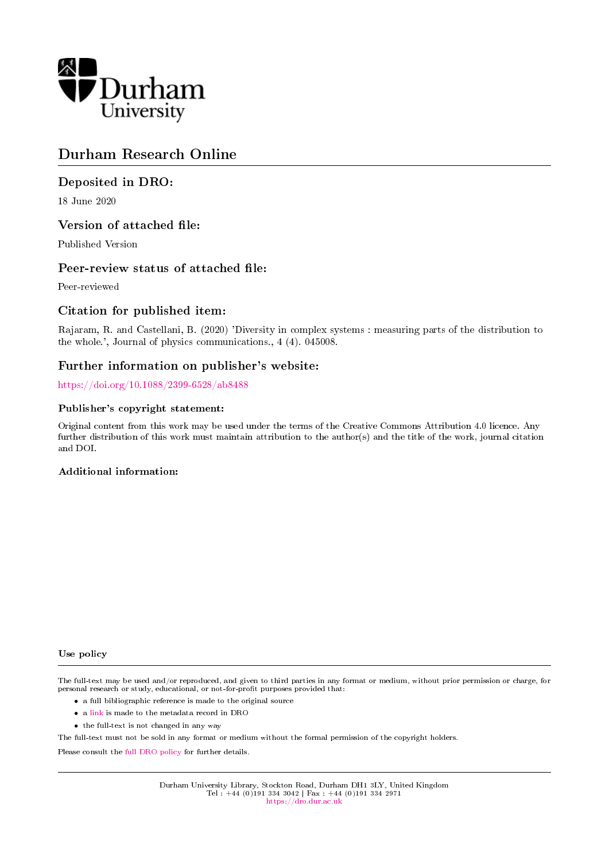

# Durham Research Online

## Deposited in DRO:

18 June 2020

## Version of attached file:

Published Version

## Peer-review status of attached file:

Peer-reviewed

# Citation for published item:

Rajaram, R. and Castellani, B. (2020) 'Diversity in complex systems : measuring parts of the distribution to the whole.', Journal of physics communications., 4 (4). 045008.

## Further information on publisher's website:

<https://doi.org/10.1088/2399-6528/ab8488>

### Publisher's copyright statement:

Original content from this work may be used under the terms of the Creative Commons Attribution 4.0 licence. Any further distribution of this work must maintain attribution to the author(s) and the title of the work, journal citation and DOI.

### Additional information:

#### Use policy

The full-text may be used and/or reproduced, and given to third parties in any format or medium, without prior permission or charge, for personal research or study, educational, or not-for-profit purposes provided that:

- a full bibliographic reference is made to the original source
- a [link](http://dro.dur.ac.uk/31081/) is made to the metadata record in DRO
- the full-text is not changed in any way

The full-text must not be sold in any format or medium without the formal permission of the copyright holders.

Please consult the [full DRO policy](https://dro.dur.ac.uk/policies/usepolicy.pdf) for further details.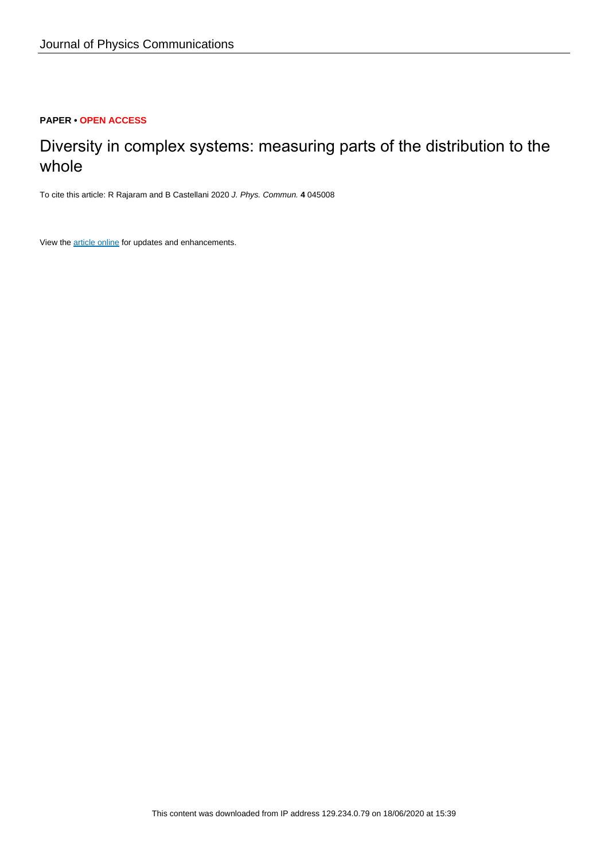## **PAPER • OPEN ACCESS**

# Diversity in complex systems: measuring parts of the distribution to the whole

To cite this article: R Rajaram and B Castellani 2020 J. Phys. Commun. **4** 045008

View the [article online](https://doi.org/10.1088/2399-6528/ab8488) for updates and enhancements.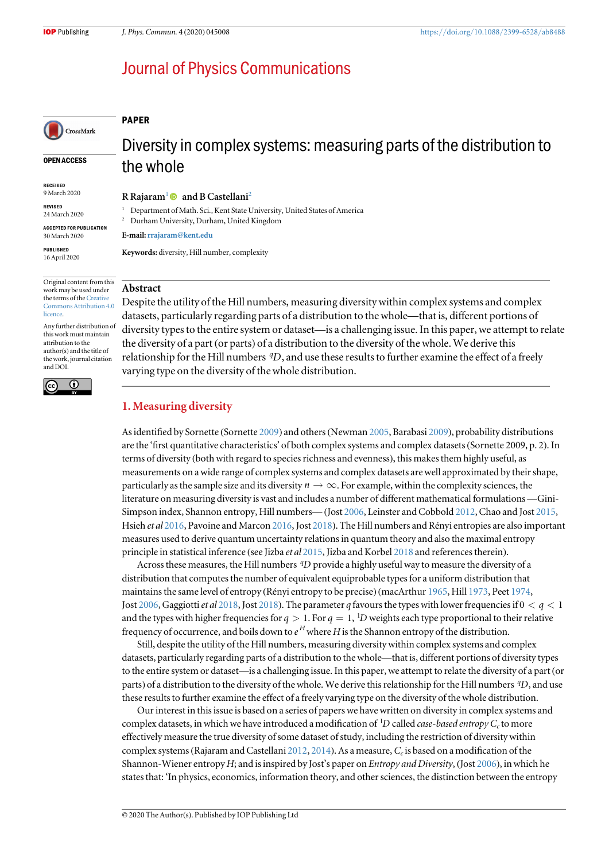# **Journal of Physics Communications**

### PAPER

OPEN ACCESS

CrossMark

RECEIVED 9 March 2020

REVISED 24 March 2020

ACCEPTED FOR PUBLICATION 30 March 2020

PUBLISHED 16 April 2020

Original content from this work may be used under the terms of the [Creative](http://creativecommons.org/licenses/by/4.0) [Commons Attribution 4.0](http://creativecommons.org/licenses/by/4.0) [licence.](http://creativecommons.org/licenses/by/4.0)

Any further distribution of this work must maintain attribution to the author(s) and the title of the work, journal citation and DOI.



# Diversity in complex systems: measuring parts of the distribution to the whole

R Rajaram<sup>1</sup> and B Castellani<sup>2</sup>

<sup>1</sup> Department of Math. Sci., Kent State University, United States of America

<sup>2</sup> Durham University, Durham, United Kingdom

E-mail:[rrajaram@kent.edu](mailto:rrajaram@kent.edu)

Keywords: diversity, Hill number, complexity

### Abstract

Despite the utility of the Hill numbers, measuring diversity within complex systems and complex datasets, particularly regarding parts of a distribution to the whole—that is, different portions of diversity types to the entire system or dataset—is a challenging issue. In this paper, we attempt to relate the diversity of a part (or parts) of a distribution to the diversity of the whole. We derive this relationship for the Hill numbers *<sup>q</sup>D*, and use these results to further examine the effect of a freely varying type on the diversity of the whole distribution.

## 1. Measuring diversity

As identified by Sornette (Sornette 2009) and others(Newman 2005, Barabasi 2009), probability distributions are the 'first quantitative characteristics' of both complex systems and complex datasets(Sornette 2009, p. 2). In terms of diversity (both with regard to species richness and evenness), this makes them highly useful, as measurements on a wide range of complex systems and complex datasets are well approximated by their shape, particularly as the sample size and its diversity  $n \to \infty$ . For example, within the complexity sciences, the literature on measuring diversity is vast and includes a number of different mathematical formulations —Gini-Simpson index, Shannon entropy, Hill numbers—(Jost 2006, Leinster and Cobbold 2012, Chao and Jost 2015, Hsieh et al 2016, Pavoine and Marcon 2016, Jost 2018). The Hill numbers and Rényi entropies are also important measures used to derive quantum uncertainty relations in quantum theory and also the maximal entropy principle in statistical inference (see Jizba et al 2015, Jizba and Korbel 2018 and references therein).

Across these measures, the Hill numbers <sup>q</sup>D provide a highly useful way to measure the diversity of a distribution that computes the number of equivalent equiprobable types for a uniform distribution that maintains the same level of entropy (Rényi entropy to be precise) (macArthur 1965, Hill 1973, Peet 1974, Jost 2006, Gaggiotti *et al* 2018, Jost 2018). The parameter q favours the types with lower frequencies if  $0 < q < 1$ and the types with higher frequencies for  $q > 1$ . For  $q = 1$ , <sup>1</sup>D weights each type proportional to their relative frequency of occurrence, and boils down to  $e^H$  where H is the Shannon entropy of the distribution.

Still, despite the utility of the Hill numbers, measuring diversity within complex systems and complex datasets, particularly regarding parts of a distribution to the whole—that is, different portions of diversity types to the entire system or dataset—is a challenging issue. In this paper, we attempt to relate the diversity of a part (or parts) of a distribution to the diversity of the whole. We derive this relationship for the Hill numbers *<sup>q</sup> D*, and use these results to further examine the effect of a freely varying type on the diversity of the whole distribution.

Our interest in this issue is based on a series of papers we have written on diversity in complex systems and complex datasets, in which we have introduced a modification of  ${}^{1}D$  called *case-based entropy*  $C_c$  to more effectively measure the true diversity of some dataset of study, including the restriction of diversity within complex systems (Rajaram and Castellani 2012, 2014). As a measure,  $C_c$  is based on a modification of the Shannon-Wiener entropy H; and is inspired by Jost's paper on Entropy and Diversity, (Jost 2006), in which he states that: 'In physics, economics, information theory, and other sciences, the distinction between the entropy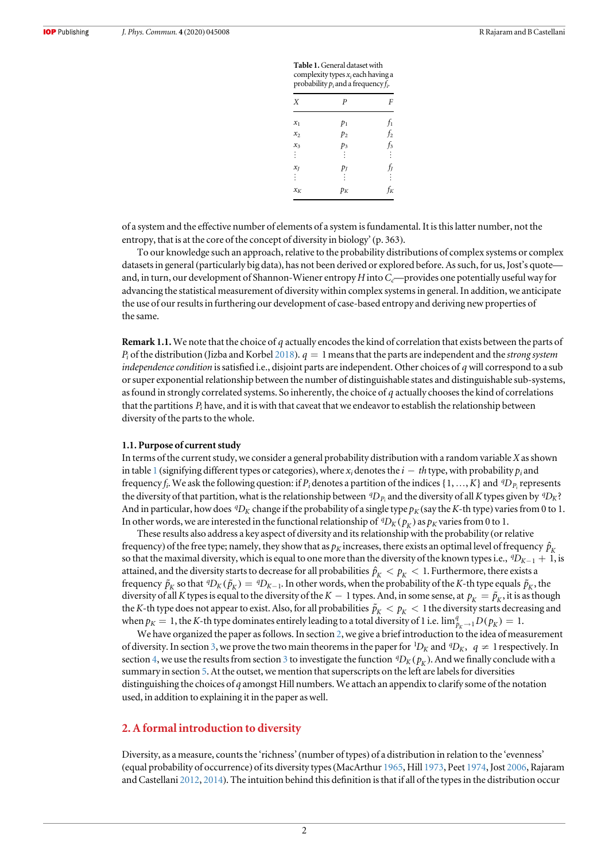| Χ     | $\overline{P}$ | F     |
|-------|----------------|-------|
| $x_1$ | $p_1$          | fı    |
| $x_2$ | p <sub>2</sub> | $f_2$ |
| $x_3$ | $p_3$          | $f_3$ |
| ŧ     |                | ÷     |
| $x_J$ | $p_I$          | fj    |
| ÷     |                | ÷     |
| $x_K$ | $p_{K}$        | k     |

Table 1.General dataset with complexity types  $x_i$  each having a

of a system and the effective number of elements of a system is fundamental. It is this latter number, not the entropy, that is at the core of the concept of diversity in biology'(p. 363).

To our knowledge such an approach, relative to the probability distributions of complex systems or complex datasets in general (particularly big data), has not been derived or explored before. As such, for us, Jost's quote and, in turn, our development of Shannon-Wiener entropy  $H$  into  $C_c$ —provides one potentially useful way for advancing the statistical measurement of diversity within complex systems in general. In addition, we anticipate the use of our results in furthering our development of case-based entropy and deriving new properties of the same.

Remark 1.1. We note that the choice of *q* actually encodes the kind of correlation that exists between the parts of *Pi* of the distribution (Jizba and Korbel 2018). *q* = 1means that the parts are independent and the strong system independence condition is satisfied i.e., disjoint parts are independent. Other choices of *q* will correspond to a sub or super exponential relationship between the number of distinguishable states and distinguishable sub-systems, as found in strongly correlated systems. So inherently, the choice of *q* actually chooses the kind of correlations that the partitions *Pi* have, and it is with that caveat that we endeavor to establish the relationship between diversity of the parts to the whole.

#### 1.1. Purpose of current study

In terms of the current study, we consider a general probability distribution with a random variable X as shown in table 1 (signifying different types or categories), where  $x_i$  denotes the  $i - th$  type, with probability  $p_i$  and frequency  $f_i$ . We ask the following question: if  $P_i$  denotes a partition of the indices  $\{1,...,K\}$  and  ${}^qD_{P_i}$  represents the diversity of that partition, what is the relationship between  ${}^qD_{P_i}$  and the diversity of all K types given by  ${}^qD_K$ ? And in particular, how does  ${}^{q}D_K$  change if the probability of a single type  $p_K$  (say the K-th type) varies from 0 to 1. In other words, we are interested in the functional relationship of  ${}^qD_K(p_V)$  as  $p_K$  varies from 0 to 1.

These results also address a key aspect of diversity and its relationship with the probability (or relative frequency) of the free type; namely, they show that as  $p_K$  increases, there exists an optimal level of frequency  $\hat{p}_K$ so that the maximal diversity, which is equal to one more than the diversity of the known types i.e.,  ${}^qD_{K-1}$  + 1, is attained, and the diversity starts to decrease for all probabilities  $\hat{p}_K < p_K < 1$ . Furthermore, there exists a frequency  $\tilde{p}_K$  so that  ${}^qD_K(\tilde{p}_K) = {}^qD_{K-1}$ . In other words, when the probability of the K-th type equals  $\tilde{p}_K$ , the diversity of all K types is equal to the diversity of the K – 1 types. And, in some sense, at  $p_k = \tilde{p}_k$ , it is as though the K-th type does not appear to exist. Also, for all probabilities  $\tilde{p}_K < p_K < 1$  the diversity starts decreasing and when  $p_K = 1$ , the K-th type dominates entirely leading to a total diversity of 1 i.e.  $\lim_{p_K \to 1} D(p_K) = 1$ .

We have organized the paper as follows. In section 2, we give a brief introduction to the idea of measurement of diversity. In section 3, we prove the two main theorems in the paper for  ${}^1D_K$  and  ${}^qD_K$ ,  $q \neq 1$  respectively. In section 4, we use the results from section 3 to investigate the function  ${}^qD_K(p_K)$ . And we finally conclude with a summary in section 5. At the outset, we mention that superscripts on the left are labels for diversities distinguishing the choices of q amongst Hill numbers. We attach an appendix to clarify some of the notation used, in addition to explaining it in the paper as well.

#### 2. A formal introduction to diversity

Diversity, as a measure, counts the 'richness'(number of types) of a distribution in relation to the 'evenness' (equal probability of occurrence) of its diversity types(MacArthur 1965, Hill 1973, Peet 1974, Jost 2006, Rajaram and Castellani 2012, 2014). The intuition behind this definition is that if all of the types in the distribution occur

 $\overline{2}$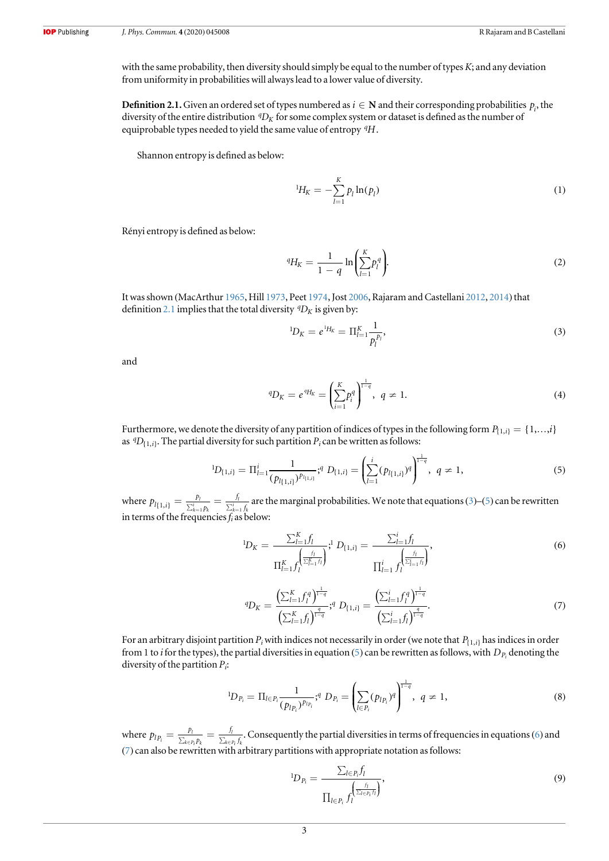with the same probability, then diversity should simply be equal to the number of types  $K$ ; and any deviation from uniformity in probabilities will always lead to a lower value of diversity.

**Definition 2.1.** Given an ordered set of types numbered as  $i \in \mathbb{N}$  and their corresponding probabilities  $p_i$ , the diversity of the entire distribution *q*D<sub>K</sub> for some complex system or dataset is defined as the number of equiprobable types needed to yield the same value of entropy *<sup>q</sup> H*.

Shannon entropy is defined as below:

$$
{}^{1}H_{K} = -\sum_{l=1}^{K} p_{l} \ln(p_{l})
$$
\n(1)

Rényi entropy is defined as below:

$$
{}^{q}H_{K} = \frac{1}{1-q} \ln \left( \sum_{l=1}^{K} p_{l}^{q} \right).
$$
 (2)

It was shown (MacArthur 1965, Hill 1973, Peet 1974, Jost 2006, Rajaram and Castellani 2012, 2014) that definition 2.1 implies that the total diversity  ${}^qD_K$  is given by:

$$
{}^{1}D_{K}=e^{^{1}H_{K}}=\Pi_{l=1}^{K}\frac{1}{p_{l}^{p_{l}}},\qquad \qquad (3)
$$

and

$$
{}^{q}D_{K} = e^{q}H_{K} = \left(\sum_{i=1}^{K} p_{i}^{q}\right)^{\frac{1}{1-q}}, \ q \neq 1.
$$
 (4)

Furthermore, we denote the diversity of any partition of indices of types in the following form  $P_{\{1,i\}} = \{1,...,i\}$ as  ${}^{q}D_{\{1,i\}}$ . The partial diversity for such partition  $P_i$  can be written as follows:

$$
{}^{1}D_{\{1,i\}} = \Pi_{l=1}^{i} \frac{1}{(p_{l(1,i)})^{p_{l(1,i)}}}; ^{q} D_{\{1,i\}} = \left(\sum_{l=1}^{i} (p_{l(1,i)})^{q}\right)^{\frac{1}{1-q}}, \ q \neq 1, \tag{5}
$$

where  $p_{l\{1,i\}} = \frac{p_l}{\sum_{k=1}^{i} p_k} = \frac{f_l}{\sum_{k=1}^{i} p_k}$ *p*  $f_{1,i}$  =  $\frac{p_i}{\sum_{k=1}^i p_k} = \frac{f_i}{\sum_{k=1}^i f_k}$ *l*  $h_{(1,i)} = \frac{p_i}{\sum_{k=1}^{i} p_k} = \frac{h}{\sum_{k=1}^{i} f_k}$  are the marginal probabilities. We note that equations (3)–(5) can be rewritten in terms of the frequencies  $f_i$  as below:

$$
{}^{1}D_{K} = \frac{\sum_{l=1}^{K} f_{l}}{\prod_{l=1}^{K} f_{l}} \sum_{l=1}^{i} D_{\{1,i\}} = \frac{\sum_{l=1}^{i} f_{l}}{\prod_{l=1}^{i} f_{l}} \sum_{l=1}^{i} f_{l}},
$$
\n(6)

$$
{}^{q}D_{K} = \frac{\left(\sum_{l=1}^{K} f_{l}^{q}\right)^{\frac{1}{1-q}}}{\left(\sum_{l=1}^{K} f_{l}\right)^{\frac{q}{1-q}}}; {}^{q}D_{\{1,i\}} = \frac{\left(\sum_{l=1}^{i} f_{l}^{q}\right)^{\frac{1}{1-q}}}{\left(\sum_{l=1}^{i} f_{l}\right)^{\frac{q}{1-q}}}. \tag{7}
$$

For an arbitrary disjoint partition  $P_i$  with indices not necessarily in order (we note that  $P_{\{1,i\}}$  has indices in order from 1 to *i* for the types), the partial diversities in equation (5) can be rewritten as follows, with  $D_p$ , denoting the diversity of the partition  $P_i$ :

$$
{}^{1}D_{P_{i}} = \Pi_{l \in P_{i}} \frac{1}{(p_{l_{P_{i}}})^{p_{l_{P_{i}}}}};^{q} D_{P_{i}} = \left(\sum_{l \in P_{i}} (p_{l_{P_{i}}})^{q}\right)^{\frac{1}{1-q}}, \ q \neq 1, \tag{8}
$$

where  $p_{lp_i} = \frac{p_l}{\sum_{k \in P_i} p_k} = \frac{f}{\sum_{k \in P_i} p_k}$ *p f*  $\theta_i = \frac{p_l}{\sum_{k \in P_i} p_k} = \frac{p_l}{\sum_{k \in P_i} p_k}$ *k Pi k l*  $\frac{h}{k\epsilon P_i f_k}$ . Consequently the partial diversities in terms of frequencies in equations (6) and (7) can also be rewritten with arbitrary partitions with appropriate notation as follows:

$$
{}^{1}D_{P_i} = \frac{\sum_{l \in P_i} f_l}{\prod_{l \in P_i} f_l^{\left(\frac{f_l}{\sum_{l \in P_i} f_l}\right)}},\tag{9}
$$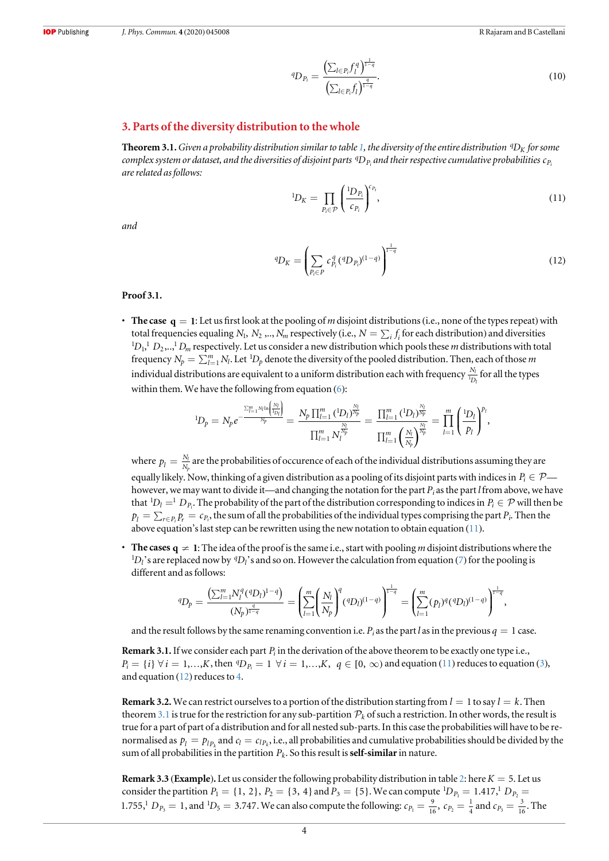$$
{}^{q}D_{P_i} = \frac{\left(\sum_{l \in P_i} f_l^q\right)^{\frac{1}{1-q}}}{\left(\sum_{l \in P_i} f_l\right)^{\frac{q}{1-q}}}.\tag{10}
$$

#### 3. Parts of the diversity distribution to the whole

 $\rm Theorem$  3.1. Given a probability distribution similar to table 1, the diversity of the entire distribution  $\,^q\rm D_K$  for some complex system or dataset, and the diversities of disjoint parts <sup>q</sup>D<sub>P;</sub> and their respective cumulative probabilities c<sub>P</sub> are related as follows:

$$
{}^{1}D_{K} = \prod_{P_{i} \in \mathcal{P}} \left( \frac{{}^{1}D_{P_{i}}}{c_{P_{i}}} \right)^{c_{P_{i}}},\tag{11}
$$

and

$$
{}^{q}D_{K} = \left(\sum_{P_{i} \in P} c_{P_{i}}^{q} ({}^{q}D_{P_{i}})^{(1-q)}\right)^{\frac{1}{1-q}}
$$
(12)

#### Proof 3.1.

• The case  $q = 1$ : Let us first look at the pooling of m disjoint distributions (i.e., none of the types repeat) with total frequencies equaling  $N_1$ ,  $N_2$ ,..,  $N_m$  respectively (i.e.,  $N = \sum_i f_i$  for each distribution) and diversities  ${}^1D_1$ ,  $D_2$ ,..,  ${}^1D_m$  respectively. Let us consider a new distribution which pools these *m* distributions with total frequency  $N_p = \sum_{l=1}^m N_l$ . Let  ${}^1D_p$  denote the diversity of the pooled distribution. Then, each of those m individual distributions are equivalent to a uniform distribution each with frequency  $\frac{N_l}{^l D_l}$  for all the types within them. We have the following from equation  $(6)$ :

$$
{}^{1}D_{p} = N_{p}e^{-\frac{\sum_{l=1}^{m} N_{l} \ln \left(\frac{N_{l}}{1_{D_{l}}}\right)}{N_{p}}} = \frac{N_{p} \prod_{l=1}^{m} ({}^{1}D_{l})^{\frac{N_{l}}{N_{p}}}}{\prod_{l=1}^{m} N_{l}^{\frac{N_{l}}{N_{p}}}} = \frac{\prod_{l=1}^{m} ({}^{1}D_{l})^{\frac{N_{l}}{N_{p}}}}{\prod_{l=1}^{m} \left(\frac{N_{l}}{N_{p}}\right)^{\frac{N_{l}}{N_{p}}}} = \prod_{l=1}^{m} \left(\frac{{}^{1}D_{l}}{p_{l}}\right)^{p_{l}},
$$

where  $p_l = \frac{N_l}{N_l}$  $\frac{n}{p}$  are the probabilities of occurence of each of the individual distributions assuming they are equally likely. Now, thinking of a given distribution as a pooling of its disjoint parts with indices in  $P_i \in \mathcal{P}$  however, we may want to divide it—and changing the notation for the part  $P_i$  as the part l from above, we have that  ${}^{1}D_{l} = {}^{1}D_{P_{i}}$ . The probability of the part of the distribution corresponding to indices in  $P_{i} \in \mathcal{P}$  will then be  $p_l = \sum_{r \in P_l} p_r = c_{P_l}$ , the sum of all the probabilities of the individual types comprising the part  $P_i$ . Then the above equation's last step can be rewritten using the new notation to obtain equation (11).

**The cases**  $q \neq 1$ **:** The idea of the proof is the same i.e., start with pooling *m* disjoint distributions where the  $^{1}D_{l}$ 's are replaced now by  $^{q}D_{l}$ 's and so on. However the calculation from equation (7) for the pooling is different and as follows:

$$
{}^{q}D_p=\frac{\left(\sum_{l=1}^mN^q_l({}^{q}D_l)^{1-q}\right)}{(N_p)^{\frac{q}{1-q}}}=\left(\sum_{l=1}^m\left(\frac{N_l}{N_p}\right)^q({}^{q}D_l)^{(1-q)}\right)^{\frac{1}{1-q}}=\left(\sum_{l=1}^m(p_l)^q({}^{q}D_l)^{(1-q)}\right)^{\frac{1}{1-q}},
$$

and the result follows by the same renaming convention i.e.  $P_i$  as the part l as in the previous  $q = 1$  case.

Remark 3.1.If we consider each part *Pi* in the derivation of the above theorem to be exactly one type i.e.,  $P_i = \{i\} \ \forall \ i = 1,...,K,$  then  ${}^qD_{P_i} = 1 \ \forall \ i = 1,...,K, \ q \in [0, \infty)$  and equation (11) reduces to equation (3), and equation  $(12)$  reduces to 4.

**Remark 3.2.** We can restrict ourselves to a portion of the distribution starting from  $l = 1$  to say  $l = k$ . Then theorem 3.1 is true for the restriction for any sub-partition  $\mathcal{P}_k$  of such a restriction. In other words, the result is true for a part of part of a distribution and for all nested sub-parts. In this case the probabilities will have to be renormalised as  $p_l = p_{lp_l}$  and  $c_l = c_{lp_k}$ , i.e., all probabilities and cumulative probabilities should be divided by the sum of all probabilities in the partition  $P_k$ . So this result is **self-similar** in nature.

Remark 3.3 (Example). Let us consider the following probability distribution in table 2: here  $K = 5$ . Let us consider the partition  $P_1 = \{1, 2\}$ ,  $P_2 = \{3, 4\}$  and  $P_3 = \{5\}$ . We can compute  ${}^1D_{P_1} = 1.417$ ,  ${}^1D_{P_2} = 1.417$ 1.755,<sup>1</sup>  $D_{P_3} = 1$ , and <sup>1</sup> $D_5 = 3.747$ . We can also compute the following:  $c_{P_1} = \frac{9}{16}$ ,  $c_{P_2} =$  $\epsilon_{p_1} = \frac{9}{16}$ ,  $c_{p_2} = \frac{1}{4}$  and  $c_{p_3} = \frac{3}{16}$ . The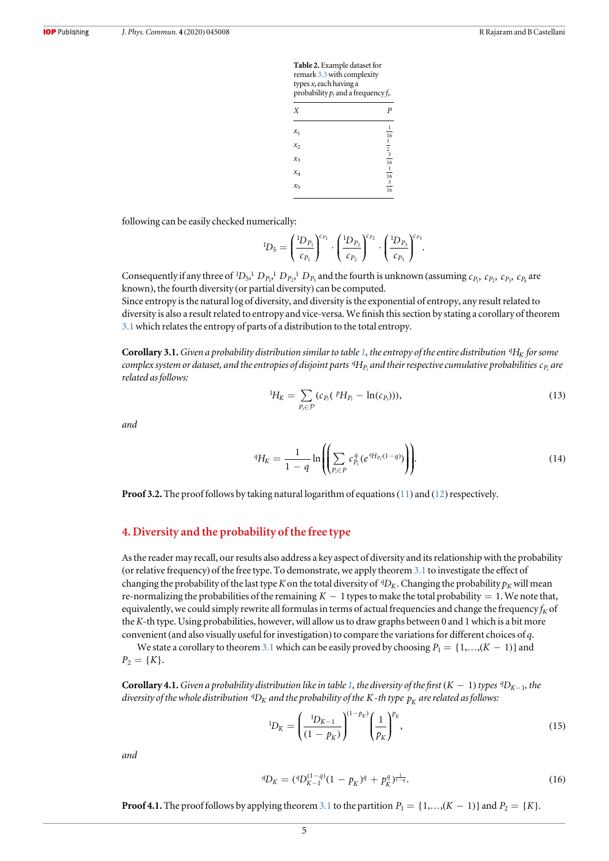| <b>Table 2.</b> Example dataset for<br>remark 3.3 with complexity<br>types $x_i$ each having a<br>probability $p_i$ and a frequency $f_i$ . |                                 |  |  |
|---------------------------------------------------------------------------------------------------------------------------------------------|---------------------------------|--|--|
| X                                                                                                                                           | P                               |  |  |
| $x_1$                                                                                                                                       |                                 |  |  |
| $x_2$                                                                                                                                       | 16                              |  |  |
| $x_3$                                                                                                                                       | $\frac{1}{2}$ $\frac{3}{16}$    |  |  |
| $x_4$                                                                                                                                       | 16                              |  |  |
| $x_{5}$                                                                                                                                     | $\ensuremath{\mathbf{3}}$<br>16 |  |  |

following can be easily checked numerically:

$$
{}^{1}D_5 = \left(\frac{{}^{1}D_{P_1}}{{}^{c}P_1}\right)^{c_{P_1}} \cdot \left(\frac{{}^{1}D_{P_2}}{{}^{c}P_2}\right)^{c_{P_2}} \cdot \left(\frac{{}^{1}D_{P_3}}{{}^{c}P_3}\right)^{c_{P_3}}.
$$

Consequently if any three of <sup>1</sup>D<sub>5</sub>,<sup>1</sup>  $D_{P_2}$ <sup>1</sup>,  $D_{P_2}$ <sup>1</sup>,  $D_{P_3}$  and the fourth is unknown (assuming  $c_{P_1}$ ,  $c_{P_2}$ ,  $c_{P_3}$ ,  $c_{P_4}$  are known), the fourth diversity (or partial diversity) can be computed.

Since entropy is the natural log of diversity, and diversity is the exponential of entropy, any result related to diversity is also a result related to entropy and vice-versa. We finish this section by stating a corollary of theorem 3.1which relates the entropy of parts of a distribution to the total entropy.

 $\bf{Corollary 3.1.}$  Given a probability distribution similar to table 1, the entropy of the entire distribution  $\rm ^4H_K$  for some complex system or dataset, and the entropies of disjoint parts <sup>q</sup>H<sub>Pi</sub> and their respective cumulative probabilities c<sub>Pi</sub> are related as follows:

$$
{}^{1}H_{K} = \sum_{P_{i} \in \mathcal{P}} (c_{P_{i}}({}^{P}H_{P_{i}} - \ln(c_{P_{i}}))), \qquad (13)
$$

and

$$
{}^{q}H_{K} = \frac{1}{1-q} \ln \left( \left( \sum_{P_{i} \in P} c_{P_{i}}^{q} (e^{q H_{P_{i}}(1-q)}) \right) \right).
$$
 (14)

**Proof 3.2.** The proof follows by taking natural logarithm of equations (11) and (12) respectively.

### 4. Diversity and the probability of the free type

As the reader may recall, our results also address a key aspect of diversity and its relationship with the probability (or relative frequency) of the free type. To demonstrate, we apply theorem 3.1 to investigate the effect of changing the probability of the last type K on the total diversity of  ${}^qD_K$ . Changing the probability  $p_K$  will mean re-normalizing the probabilities of the remaining  $K-1$  types to make the total probability = 1. We note that, equivalently, we could simply rewrite all formulas in terms of actual frequencies and change the frequency  $f_K$  of the K-th type. Using probabilities, however, will allow us to draw graphs between 0 and 1 which is a bit more convenient (and also visually useful for investigation) to compare the variations for different choices of q.

We state a corollary to theorem 3.1 which can be easily proved by choosing  $P_1 = \{1, ..., (K - 1)\}$  and  $P_2 = \{K\}.$ 

**Corollary 4.1.** Given a probability distribution like in table 1, the diversity of the first  $(K - 1)$  types <sup>q</sup>D<sub>K-1</sub>, the diversity of the whole distribution  $\,{}^q\!D_K$  and the probability of the K -th type  $\,p^{}_K$  are related as follows:

$$
{}^{1}D_{K} = \left(\frac{{}^{1}D_{K-1}}{{}^{(1-p_{K})}}\right)^{(\frac{1}{p_{K}})} \left(\frac{1}{p_{K}}\right)^{p_{K}},
$$
\n(15)

and

$$
{}^{q}D_{K} = ({}^{q}D_{K-1}^{(1-q)}(1 - p_{K})^{q} + p_{K}^{q})^{\frac{1}{1-q}}.
$$
\n(16)

**Proof 4.1.** The proof follows by applying theorem 3.1 to the partition  $P_1 = \{1, ..., (K-1)\}$  and  $P_2 = \{K\}$ .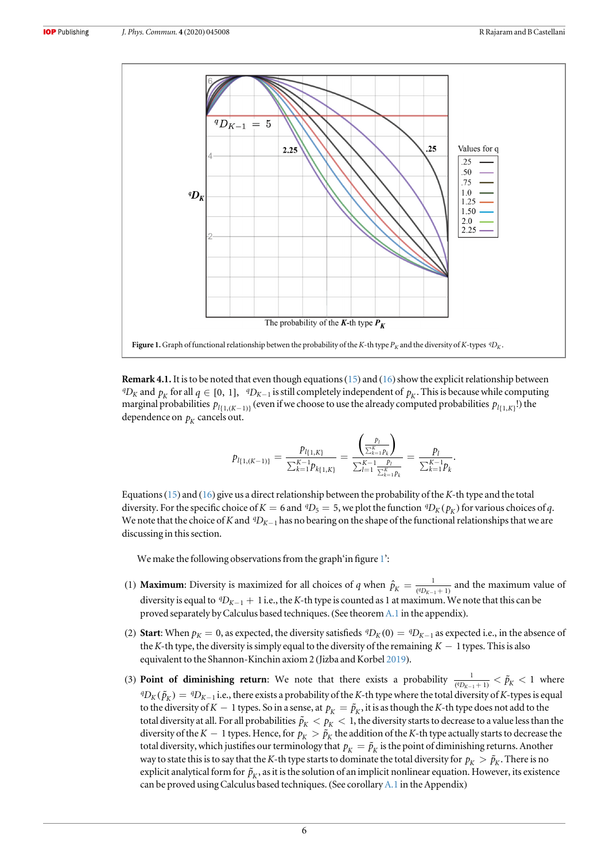

**Remark 4.1.** It is to be noted that even though equations (15) and (16) show the explicit relationship between  ${}^qD_K$  and  $p_K$  for all  $q \in [0, 1]$ ,  ${}^qD_{K-1}$  is still completely independent of  $p_K$ . This is because while computing marginal probabilities  $p_{l_{\{1,(K-1)\}}}$  (even if we choose to use the already computed probabilities  $p_{l_{\{1,K\}}}$ !) the dependence on  $p_k$  cancels out.

$$
p_{l\{1,(K-1)\}} = \frac{p_{l\{1,K\}}}{\sum_{k=1}^{K-1} p_{k\{1,K\}}} = \frac{\left(\frac{p_l}{\sum_{k=1}^{K} p_k}\right)}{\sum_{l=1}^{K-1} \frac{p_l}{\sum_{k=1}^{K} p_k}} = \frac{p_l}{\sum_{k=1}^{K-1} p_k}.
$$

Equations(15) and (16) give us a direct relationship between the probability of the K-th type and the total diversity. For the specific choice of  $K = 6$  and  ${}^qD_5 = 5$ , we plot the function  ${}^qD_K(p_K)$  for various choices of q. We note that the choice of K and  ${}^qD_{K-1}$  has no bearing on the shape of the functional relationships that we are discussing in this section.

We make the following observations from the graph'in figure 1':

- (1) **Maximum**: Diversity is maximized for all choices of q when  $\hat{p}_K = \frac{1}{({}^qD_{K-1} + )^q}$  $\hat{p}_K = \frac{1}{({}^qD_{K-1}+1)}$  and the maximum value of diversity is equal to  ${}^qD_{K-1}$  + 1 i.e., the K-th type is counted as 1 at maximum. We note that this can be proved separately by Calculus based techniques. (See theorem A.1 in the appendix).
- (2) Start: When  $p_K = 0$ , as expected, the diversity satisfieds  ${}^qD_K(0) = {}^qD_{K-1}$  as expected i.e., in the absence of the K-th type, the diversity is simply equal to the diversity of the remaining  $K - 1$  types. This is also equivalent to the Shannon-Kinchin axiom 2 (Jizba and Korbel 2019).
- (3) **Point of diminishing return:** We note that there exists a probability  $\frac{1}{({}^qD_{K-1}+1)} < \tilde{p}_K < 1$ 1  $\frac{1}{({}^{q}D_{K-1}+1)} < \tilde{p}_K < 1$  where  ${}^qD_K(\tilde{p}_K) = {}^qD_{K-1}$  i.e., there exists a probability of the K-th type where the total diversity of K-types is equal to the diversity of  $K - 1$  types. So in a sense, at  $p_K = \tilde{p}_K$ , it is as though the K-th type does not add to the total diversity at all. For all probabilities  $\tilde{p}_K < p_K < 1$ , the diversity starts to decrease to a value less than the diversity of the K – 1 types. Hence, for  $p_K > \tilde{p}_K$  the addition of the K-th type actually starts to decrease the total diversity, which justifies our terminology that  $p_K = \tilde{p}_K$  is the point of diminishing returns. Another way to state this is to say that the K-th type starts to dominate the total diversity for  $p_K > \tilde{p}_K$ . There is no explicit analytical form for  $\tilde{p}_K$ , as it is the solution of an implicit nonlinear equation. However, its existence can be proved using Calculus based techniques. (See corollary A.1 in the Appendix)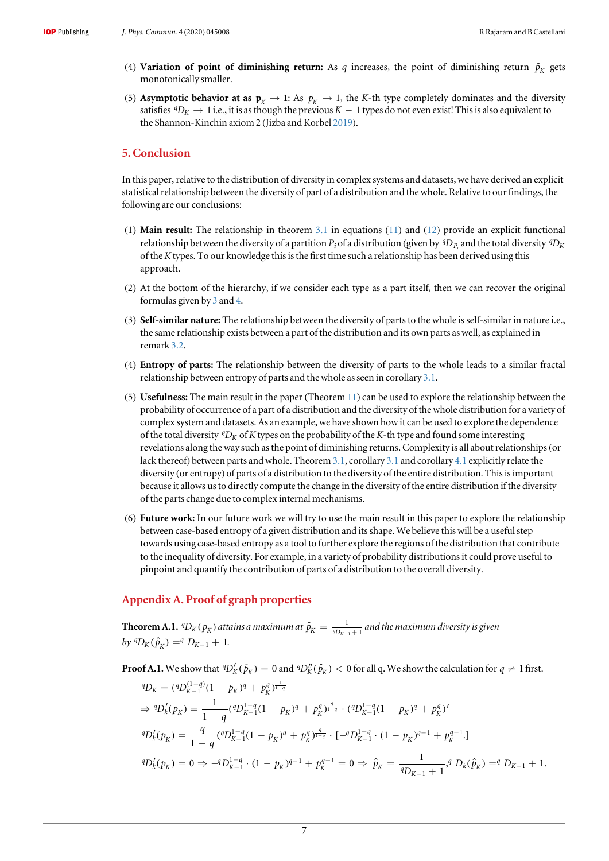- (4) Variation of point of diminishing return: As  $q$  increases, the point of diminishing return  $\tilde{p}_K$  gets monotonically smaller.
- (5) Asymptotic behavior at as  $p_K \to 1$ : As  $p_K \to 1$ , the K-th type completely dominates and the diversity satisfies  ${}^qD_K \to 1$  i.e., it is as though the previous  $K-1$  types do not even exist! This is also equivalent to the Shannon-Kinchin axiom 2 (Jizba and Korbel 2019).

## 5. Conclusion

In this paper, relative to the distribution of diversity in complex systems and datasets, we have derived an explicit statistical relationship between the diversity of part of a distribution and the whole. Relative to our findings, the following are our conclusions:

- (1) Main result: The relationship in theorem 3.1 in equations (11) and (12) provide an explicit functional relationship between the diversity of a partition  $P_i$  of a distribution (given by  ${}^qD_{P_i}$  and the total diversity  ${}^qD_K$ of the Ktypes. To our knowledge this is the first time such a relationship has been derived using this approach.
- (2) At the bottom of the hierarchy, if we consider each type as a part itself, then we can recover the original formulas given by 3 and 4.
- (3) Self-similar nature: The relationship between the diversity of parts to the whole is self-similar in nature i.e., the same relationship exists between a part of the distribution and its own parts as well, as explained in remark 3.2.
- (4) Entropy of parts: The relationship between the diversity of parts to the whole leads to a similar fractal relationship between entropy of parts and the whole as seen in corollary 3.1.
- (5) Usefulness: The main result in the paper (Theorem 11) can be used to explore the relationship between the probability of occurrence of a part of a distribution and the diversity of the whole distribution for a variety of complex system and datasets. As an example, we have shown how it can be used to explore the dependence of the total diversity  ${}^qD_K$  of K types on the probability of the K-th type and found some interesting revelations along the way such as the point of diminishing returns. Complexity is all about relationships(or lack thereof) between parts and whole. Theorem 3.1, corollary 3.1 and corollary 4.1 explicitly relate the diversity (or entropy) of parts of a distribution to the diversity of the entire distribution. This is important because it allows us to directly compute the change in the diversity of the entire distribution if the diversity of the parts change due to complex internal mechanisms.
- (6) Future work: In our future work we will try to use the main result in this paper to explore the relationship between case-based entropy of a given distribution and its shape. We believe this will be a useful step towards using case-based entropy as a tool to further explore the regions of the distribution that contribute to the inequality of diversity. For example, in a variety of probability distributions it could prove useful to pinpoint and quantify the contribution of parts of a distribution to the overall diversity.

### Appendix A. Proof of graph properties

Theorem A.1.  ${}^q\!D_K(p_K^{})$  attains a maximum at  $\hat{p}_K^{} = \frac{1}{{}^q\!D_{K-1}+2}$  $\hat{p}^{}_{K} = \frac{1}{^{\,q}D_{K-1}+1}$  and the maximum diversity is given  $by$  <sup>*q*</sup>D<sub>K</sub>( $\hat{p}_K$ ) =<sup>*q*</sup> D<sub>K-1</sub> + 1.

**Proof A.1.** We show that  ${}^qD'_K(\hat{p}_K) = 0$  and  ${}^qD''_K(\hat{p}_K) < 0$  for all q. We show the calculation for  $q \neq 1$  first.

$$
{}^{q}D_{K} = ({}^{q}D_{K-1}^{(1-q)}(1-p_{K})^{q} + p_{K}^{q})^{\frac{1}{1-q}}
$$
  
\n
$$
\Rightarrow {}^{q}D_{k}^{f}(p_{K}) = \frac{1}{1-q} ({}^{q}D_{K-1}^{1-q}(1-p_{K})^{q} + p_{K}^{q})^{\frac{q}{1-q}} \cdot ({}^{q}D_{K-1}^{1-q}(1-p_{K})^{q} + p_{K}^{q})'
$$
  
\n
$$
{}^{q}D_{k}^{f}(p_{K}) = \frac{q}{1-q} ({}^{q}D_{K-1}^{1-q}(1-p_{K})^{q} + p_{K}^{q})^{\frac{q}{1-q}} \cdot [-{}^{q}D_{K-1}^{1-q} \cdot (1-p_{K})^{q-1} + p_{K}^{q-1} \cdot ]
$$
  
\n
$$
{}^{q}D_{k}^{f}(p_{K}) = 0 \Rightarrow -{}^{q}D_{K-1}^{1-q} \cdot (1-p_{K})^{q-1} + p_{K}^{q-1} = 0 \Rightarrow \hat{p}_{K} = \frac{1}{{}^{q}D_{K-1}+1} {}^{q}D_{k}(\hat{p}_{K}) = {}^{q}D_{K-1}+ 1.
$$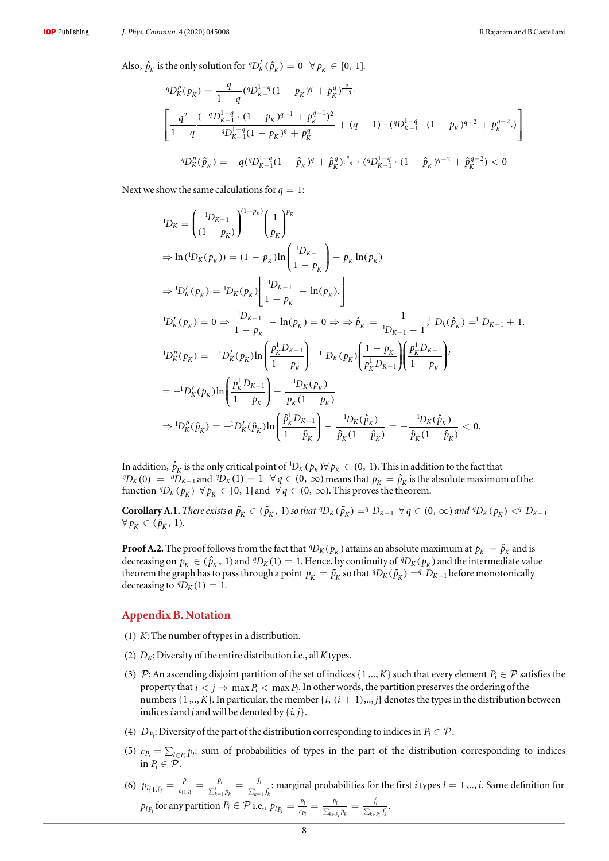Also,  $\hat{p}_K$  is the only solution for  ${}^qD'_K(\hat{p}_K) = 0 \quad \forall p_K \in [0, 1].$ 

$$
{}^{q}D_{K}''(p_{K}) = \frac{q}{1-q} ({}^{q}D_{K-1}^{1-q}(1-p_{K})^{q} + p_{K}^{q})^{\frac{q}{1-q}}.
$$
\n
$$
\left[ \frac{q^{2}}{1-q} \frac{(-{}^{q}D_{K-1}^{1-q} \cdot (1-p_{K})^{q-1} + p_{K}^{q-1})^{2}}{{}^{q}D_{K-1}^{1-q}(1-p_{K})^{q} + p_{K}^{q}} + (q-1) \cdot ({}^{q}D_{K-1}^{1-q} \cdot (1-p_{K})^{q-2} + p_{K}^{q-2}) \right]
$$
\n
$$
{}^{q}D_{K}''(\hat{p}_{K}) = -q ({}^{q}D_{K-1}^{1-q}(1-\hat{p}_{K})^{q} + \hat{p}_{K}^{q})^{\frac{q}{1-q}} \cdot ({}^{q}D_{K-1}^{1-q} \cdot (1-\hat{p}_{K})^{q-2} + \hat{p}_{K}^{q-2}) < 0
$$

Next we show the same calculations for  $q = 1$ :

$$
{}^{1}D_{K} = \left(\frac{{}^{1}D_{K-1}}{{}(1-p_{K})}\right)^{(1-p_{K})} \left(\frac{1}{p_{K}}\right)^{p_{K}}
$$
  
\n
$$
\Rightarrow \ln({}^{1}D_{K}(p_{K})) = (1-p_{K})\ln\left(\frac{{}^{1}D_{K-1}}{{1-p_{K}}}\right) - p_{K}\ln(p_{K})
$$
  
\n
$$
\Rightarrow {}^{1}D'_{K}(p_{K}) = {}^{1}D_{K}(p_{K}) \left[\frac{{}^{1}D_{K-1}}{{1-p_{K}}}-\ln(p_{K}).\right]
$$
  
\n
$$
{}^{1}D'_{K}(p_{K}) = 0 \Rightarrow \frac{{}^{1}D_{K-1}}{{1-p_{K}}} - \ln(p_{K}) = 0 \Rightarrow \Rightarrow \hat{p}_{K} = \frac{1}{{}^{1}D_{K-1}+1}, {}^{1}D_{k}(\hat{p}_{K}) = {}^{1}D_{K-1}+ 1.
$$
  
\n
$$
{}^{1}D''_{K}(p_{K}) = -{}^{1}D'_{K}(p_{K})\ln\left(\frac{p_{K}^{\dagger}D_{K-1}}{{1-p_{K}}}\right) - {}^{1}D_{K}(p_{K})\left(\frac{1-p_{K}}{{p_{K}^{\dagger}D_{K-1}}}\right)\left(\frac{p_{K}^{\dagger}D_{K-1}}{{1-p_{K}}}\right)^{l}
$$
  
\n
$$
= -{}^{1}D'_{K}(p_{K})\ln\left(\frac{p_{K}^{\dagger}D_{K-1}}{{1-p_{K}}}\right) - \frac{{}^{1}D_{K}(p_{K})}{p_{K}(1-p_{K})}
$$
  
\n
$$
\Rightarrow {}^{1}D''_{K}(\hat{p}_{K}) = -{}^{1}D'_{K}(\hat{p}_{K})\ln\left(\frac{\hat{p}_{K}^{\dagger}D_{K-1}}{{1-p_{K}}}\right) - \frac{{}^{1}D_{K}(\hat{p}_{K})}{\hat{p}_{K}(1-\hat{p}_{K})} = -\frac{{}^{1}D_{K}(\hat{p}_{K})}{\hat{p}_{K}(1-\hat{p}_{K})} < 0.
$$

In addition,  $\hat{p}_K$  is the only critical point of  ${}^1\!D_K(p_K)\forall p_K\in (0,\;1).$  This in addition to the fact that  ${}^qD_K(0) = {}^qD_{K-1}$  and  ${}^qD_K(1) = 1 \quad \forall q \in (0, \infty)$  means that  $p_K = \hat{p}_K$  is the absolute maximum of the function  ${}^qD_K(p_K) \ \forall p_K \in [0, 1]$  and  $\forall q \in (0, \infty)$ . This proves the theorem.

**Corollary A.1.** There exists a  $\tilde{p}_K \in (\hat{p}_K, 1)$  so that  ${}^qD_K(\tilde{p}_K) = {}^qD_{K-1} \forall q \in (0, \infty)$  and  ${}^qD_K(p_K) < {}^qD_{K-1}$  $\forall p_K \in (\tilde{p}_K, 1).$ 

**Proof A.2.** The proof follows from the fact that  ${}^qD_K(p_K)$  attains an absolute maximum at  $p_K = \hat{p}_K$  and is decreasing on  $p_K \in (\hat{p}_K, 1)$  and  ${}^qD_K(1) = 1$ . Hence, by continuity of  ${}^qD_K(p_K)$  and the intermediate value theorem the graph has to pass through a point  $p_K = \tilde{p}_K$  so that  ${}^qD_K(\tilde{p}_K) = {}^qD_{K-1}$  before monotonically decreasing to  ${}^qD_K(1) = 1$ .

#### Appendix B. Notation

- (1) K: The number of types in a distribution.
- (2)  $D_K$ : Diversity of the entire distribution i.e., all K types.
- (3)  $\mathcal{P}$ : An ascending disjoint partition of the set of indices {1,.., *K*} such that every element *P<sub>i</sub>*  $\in \mathcal{P}$  satisfies the property that  $i < j \Rightarrow \max P_i < \max P_i$ . In other words, the partition preserves the ordering of the numbers  $\{1,..,K\}$ . In particular, the member  $\{i, (i + 1),..,j\}$  denotes the types in the distribution between indices *i* and *j* and will be denoted by  $\{i, j\}$ .
- (4)  $D_{P_i}$ : Diversity of the part of the distribution corresponding to indices in  $P_i \in \mathcal{P}$ .
- (5)  $c_{P_i} = \sum_{l \in P_i} p_l$ : sum of probabilities of types in the part of the distribution corresponding to indices in  $P_i \in \mathcal{P}$ .
- (6)  $p_{l\{1,i\}} = \frac{p_l}{c_{\{1,i\}}} = \frac{p_l}{\sum_{k=1}^i p_k} = \frac{f_l}{\sum_{k=1}^i p_k}$ *c p p*  $f_{1,i}$  =  $\frac{p_l}{c_{\{1,i\}}}$  =  $\frac{p_l}{\sum_{k=1}^i p_k}$  =  $\frac{f_l}{\sum_{k=1}^i f_{k,i}}$ *l k i k l*  $x_{(1,i)} = \frac{p_i}{c_{(1,i)}} = \frac{p_i}{\sum_{k=1}^i p_k} = \frac{f_i}{\sum_{k=1}^i f_k}$ : marginal probabilities for the first *i* types *l* = 1,.., *i*. Same definition for  $p_{lp_i}$  for any partition  $P_i \in \mathcal{P}$  i.e.,  $p_{lp_i} = \frac{p_l}{c_{p_i}} = \frac{p_l}{\sum_{k \in P_i} p_k} = \frac{j}{\sum_{k \in P_i} p_k}$ *c p p f*  $\frac{p_i}{p_i} = \frac{p_l}{c_{p_i}} = \frac{p_l}{\sum_{k \in p_i} p_k} = \frac{p_l}{\sum_{k \in p_i} p_k}$ *Pi l*  $k \in P_i$   $P_k$ *l*  $\frac{y_l}{x_{k \in P_i} f_k}$ .